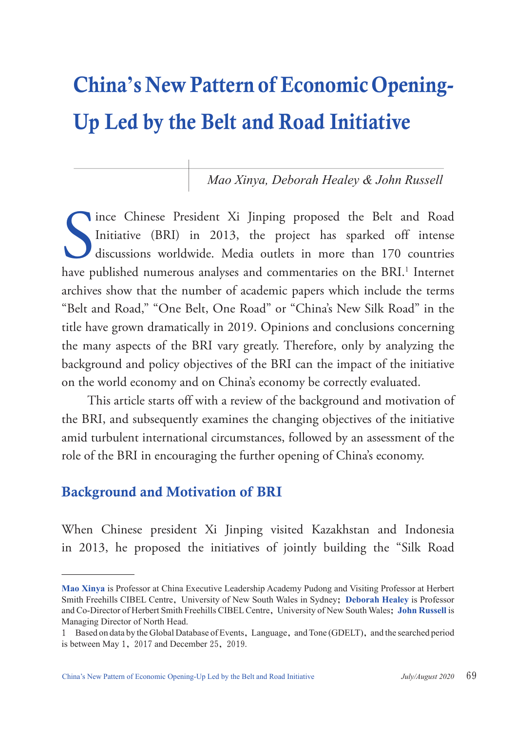# China**'**s New Pattern of Economic Opening-Up Led by the Belt and Road Initiative

*Mao Xinya, Deborah Healey & John Russell*

Internet Chinese President Xi Jinping proposed the Belt and Road<br>Initiative (BRI) in 2013, the project has sparked off intense<br>discussions worldwide. Media outlets in more than 170 countries<br>have published numerous analyse ince Chinese President Xi Jinping proposed the Belt and Road Initiative (BRI) in 2013, the project has sparked off intense discussions worldwide. Media outlets in more than 170 countries archives show that the number of academic papers which include the terms "Belt and Road," "One Belt, One Road" or "China's New Silk Road" in the title have grown dramatically in 2019. Opinions and conclusions concerning the many aspects of the BRI vary greatly. Therefore, only by analyzing the background and policy objectives of the BRI can the impact of the initiative on the world economy and on China's economy be correctly evaluated.

This article starts off with a review of the background and motivation of the BRI, and subsequently examines the changing objectives of the initiative amid turbulent international circumstances, followed by an assessment of the role of the BRI in encouraging the further opening of China's economy.

### Background and Motivation of BRI

When Chinese president Xi Jinping visited Kazakhstan and Indonesia in 2013, he proposed the initiatives of jointly building the "Silk Road

**Mao Xinya** is Professor at China Executive Leadership Academy Pudong and Visiting Professor at Herbert Smith Freehills CIBEL Centre, University of New South Wales in Sydney; **Deborah Healey** is Professor and Co-Director of Herbert Smith Freehills CIBEL Centre, University of New South Wales; **John Russell** is Managing Director of North Head.

<sup>1</sup> Based on data by the Global Database of Events, Language, and Tone (GDELT), and the searched period is between May 1, 2017 and December 25, 2019.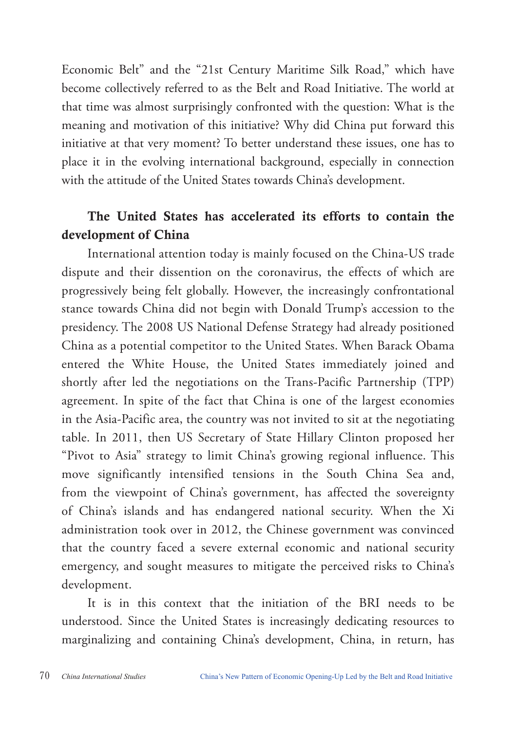Economic Belt" and the "21st Century Maritime Silk Road," which have become collectively referred to as the Belt and Road Initiative. The world at that time was almost surprisingly confronted with the question: What is the meaning and motivation of this initiative? Why did China put forward this initiative at that very moment? To better understand these issues, one has to place it in the evolving international background, especially in connection with the attitude of the United States towards China's development.

## The United States has accelerated its efforts to contain the development of China

International attention today is mainly focused on the China-US trade dispute and their dissention on the coronavirus, the effects of which are progressively being felt globally. However, the increasingly confrontational stance towards China did not begin with Donald Trump's accession to the presidency. The 2008 US National Defense Strategy had already positioned China as a potential competitor to the United States. When Barack Obama entered the White House, the United States immediately joined and shortly after led the negotiations on the Trans-Pacific Partnership (TPP) agreement. In spite of the fact that China is one of the largest economies in the Asia-Pacific area, the country was not invited to sit at the negotiating table. In 2011, then US Secretary of State Hillary Clinton proposed her "Pivot to Asia" strategy to limit China's growing regional influence. This move significantly intensified tensions in the South China Sea and, from the viewpoint of China's government, has affected the sovereignty of China's islands and has endangered national security. When the Xi administration took over in 2012, the Chinese government was convinced that the country faced a severe external economic and national security emergency, and sought measures to mitigate the perceived risks to China's development.

It is in this context that the initiation of the BRI needs to be understood. Since the United States is increasingly dedicating resources to marginalizing and containing China's development, China, in return, has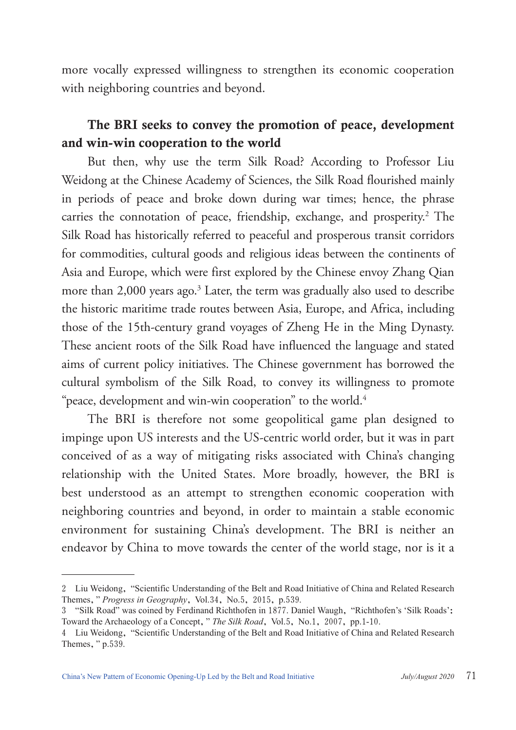more vocally expressed willingness to strengthen its economic cooperation with neighboring countries and beyond.

# The BRI seeks to convey the promotion of peace, development and win-win cooperation to the world

But then, why use the term Silk Road? According to Professor Liu Weidong at the Chinese Academy of Sciences, the Silk Road flourished mainly in periods of peace and broke down during war times; hence, the phrase carries the connotation of peace, friendship, exchange, and prosperity.<sup>2</sup> The Silk Road has historically referred to peaceful and prosperous transit corridors for commodities, cultural goods and religious ideas between the continents of Asia and Europe, which were first explored by the Chinese envoy Zhang Qian more than 2,000 years ago. $3$  Later, the term was gradually also used to describe the historic maritime trade routes between Asia, Europe, and Africa, including those of the 15th-century grand voyages of Zheng He in the Ming Dynasty. These ancient roots of the Silk Road have influenced the language and stated aims of current policy initiatives. The Chinese government has borrowed the cultural symbolism of the Silk Road, to convey its willingness to promote "peace, development and win-win cooperation" to the world.<sup>4</sup>

The BRI is therefore not some geopolitical game plan designed to impinge upon US interests and the US-centric world order, but it was in part conceived of as a way of mitigating risks associated with China's changing relationship with the United States. More broadly, however, the BRI is best understood as an attempt to strengthen economic cooperation with neighboring countries and beyond, in order to maintain a stable economic environment for sustaining China's development. The BRI is neither an endeavor by China to move towards the center of the world stage, nor is it a

<sup>2</sup> Liu Weidong, "Scientific Understanding of the Belt and Road Initiative of China and Related Research Themes," *Progress in Geography*, Vol.34, No.5, 2015, p.539.

<sup>3</sup> "Silk Road" was coined by Ferdinand Richthofen in 1877. Daniel Waugh, "Richthofen's 'Silk Roads': Toward the Archaeology of a Concept," *The Silk Road*, Vol.5, No.1, 2007, pp.1-10.

<sup>4</sup> Liu Weidong, "Scientific Understanding of the Belt and Road Initiative of China and Related Research Themes," p.539.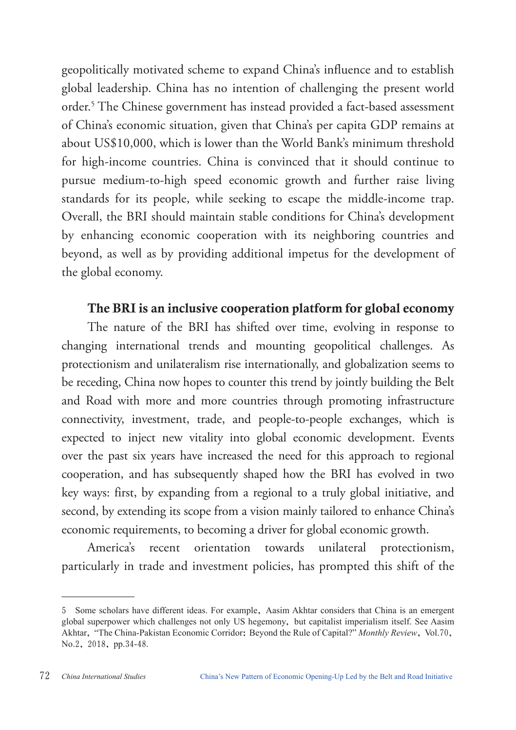geopolitically motivated scheme to expand China's influence and to establish global leadership. China has no intention of challenging the present world order.5 The Chinese government has instead provided a fact-based assessment of China's economic situation, given that China's per capita GDP remains at about US\$10,000, which is lower than the World Bank's minimum threshold for high-income countries. China is convinced that it should continue to pursue medium-to-high speed economic growth and further raise living standards for its people, while seeking to escape the middle-income trap. Overall, the BRI should maintain stable conditions for China's development by enhancing economic cooperation with its neighboring countries and beyond, as well as by providing additional impetus for the development of the global economy.

#### The BRI is an inclusive cooperation platform for global economy

The nature of the BRI has shifted over time, evolving in response to changing international trends and mounting geopolitical challenges. As protectionism and unilateralism rise internationally, and globalization seems to be receding, China now hopes to counter this trend by jointly building the Belt and Road with more and more countries through promoting infrastructure connectivity, investment, trade, and people-to-people exchanges, which is expected to inject new vitality into global economic development. Events over the past six years have increased the need for this approach to regional cooperation, and has subsequently shaped how the BRI has evolved in two key ways: first, by expanding from a regional to a truly global initiative, and second, by extending its scope from a vision mainly tailored to enhance China's economic requirements, to becoming a driver for global economic growth.

America's recent orientation towards unilateral protectionism, particularly in trade and investment policies, has prompted this shift of the

<sup>5</sup> Some scholars have different ideas. For example, Aasim Akhtar considers that China is an emergent global superpower which challenges not only US hegemony, but capitalist imperialism itself. See Aasim Akhtar, "The China-Pakistan Economic Corridor: Beyond the Rule of Capital?" *Monthly Review*, Vol.70, No.2, 2018, pp.34-48.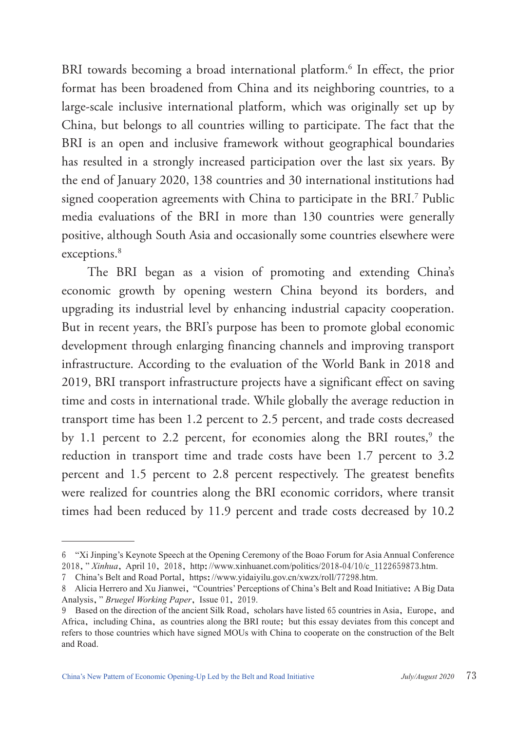BRI towards becoming a broad international platform.<sup>6</sup> In effect, the prior format has been broadened from China and its neighboring countries, to a large-scale inclusive international platform, which was originally set up by China, but belongs to all countries willing to participate. The fact that the BRI is an open and inclusive framework without geographical boundaries has resulted in a strongly increased participation over the last six years. By the end of January 2020, 138 countries and 30 international institutions had signed cooperation agreements with China to participate in the BRI.7 Public media evaluations of the BRI in more than 130 countries were generally positive, although South Asia and occasionally some countries elsewhere were exceptions.<sup>8</sup>

The BRI began as a vision of promoting and extending China's economic growth by opening western China beyond its borders, and upgrading its industrial level by enhancing industrial capacity cooperation. But in recent years, the BRI's purpose has been to promote global economic development through enlarging financing channels and improving transport infrastructure. According to the evaluation of the World Bank in 2018 and 2019, BRI transport infrastructure projects have a significant effect on saving time and costs in international trade. While globally the average reduction in transport time has been 1.2 percent to 2.5 percent, and trade costs decreased by 1.1 percent to 2.2 percent, for economies along the BRI routes,<sup>9</sup> the reduction in transport time and trade costs have been 1.7 percent to 3.2 percent and 1.5 percent to 2.8 percent respectively. The greatest benefits were realized for countries along the BRI economic corridors, where transit times had been reduced by 11.9 percent and trade costs decreased by 10.2

<sup>6</sup> "Xi Jinping's Keynote Speech at the Opening Ceremony of the Boao Forum for Asia Annual Conference 2018," *Xinhua*, April 10, 2018, http://www.xinhuanet.com/politics/2018-04/10/c\_1122659873.htm.

<sup>7</sup> China's Belt and Road Portal, https://www.yidaiyilu.gov.cn/xwzx/roll/77298.htm.

<sup>8</sup> Alicia Herrero and Xu Jianwei, "Countries' Perceptions of China's Belt and Road Initiative: A Big Data Analysis," *Bruegel Working Paper*, Issue 01, 2019.

<sup>9</sup> Based on the direction of the ancient Silk Road, scholars have listed 65 countries in Asia, Europe, and Africa, including China, as countries along the BRI route; but this essay deviates from this concept and refers to those countries which have signed MOUs with China to cooperate on the construction of the Belt and Road.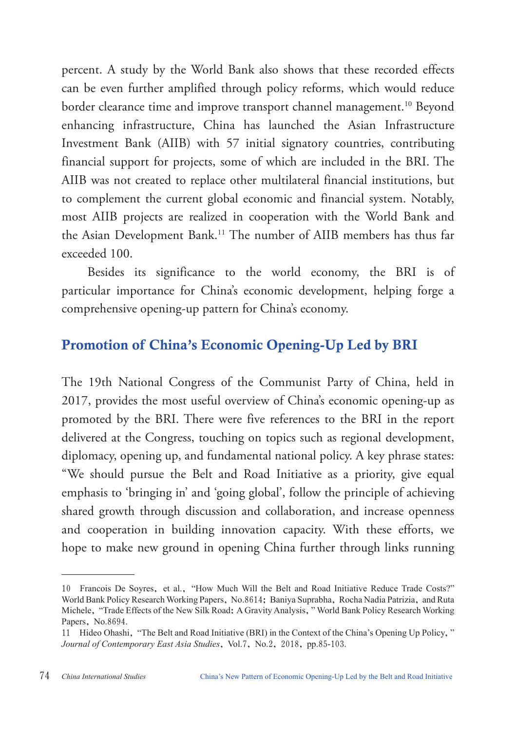percent. A study by the World Bank also shows that these recorded effects can be even further amplified through policy reforms, which would reduce border clearance time and improve transport channel management.<sup>10</sup> Beyond enhancing infrastructure, China has launched the Asian Infrastructure Investment Bank (AIIB) with 57 initial signatory countries, contributing financial support for projects, some of which are included in the BRI. The AIIB was not created to replace other multilateral financial institutions, but to complement the current global economic and financial system. Notably, most AIIB projects are realized in cooperation with the World Bank and the Asian Development Bank.<sup>11</sup> The number of AIIB members has thus far exceeded 100.

Besides its significance to the world economy, the BRI is of particular importance for China's economic development, helping forge a comprehensive opening-up pattern for China's economy.

# Promotion of China's Economic Opening-Up Led by BRI

The 19th National Congress of the Communist Party of China, held in 2017, provides the most useful overview of China's economic opening-up as promoted by the BRI. There were five references to the BRI in the report delivered at the Congress, touching on topics such as regional development, diplomacy, opening up, and fundamental national policy. A key phrase states: "We should pursue the Belt and Road Initiative as a priority, give equal emphasis to 'bringing in' and 'going global', follow the principle of achieving shared growth through discussion and collaboration, and increase openness and cooperation in building innovation capacity. With these efforts, we hope to make new ground in opening China further through links running

<sup>10</sup> Francois De Soyres, et al., "How Much Will the Belt and Road Initiative Reduce Trade Costs?" World Bank Policy Research Working Papers, No.8614; Baniya Suprabha, Rocha Nadia Patrizia, and Ruta Michele, "Trade Effects of the New Silk Road: A Gravity Analysis," World Bank Policy Research Working Papers, No.8694.

<sup>11</sup> Hideo Ohashi, "The Belt and Road Initiative (BRI) in the Context of the China's Opening Up Policy," *Journal of Contemporary East Asia Studies*, Vol.7, No.2, 2018, pp.85-103.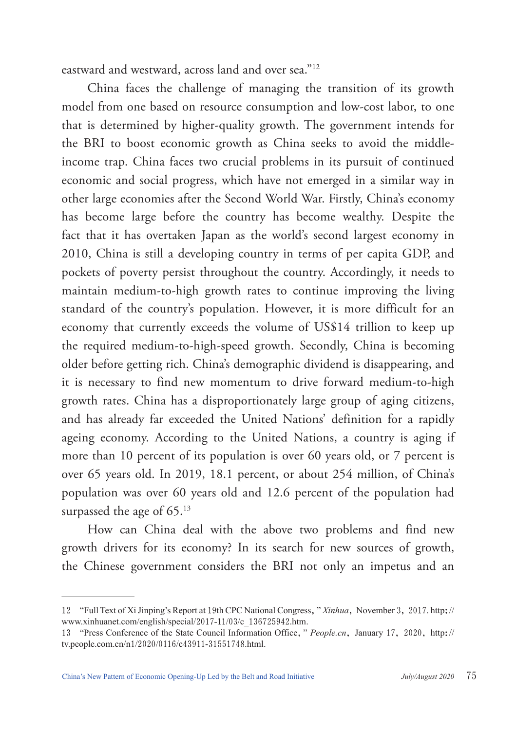eastward and westward, across land and over sea."12

China faces the challenge of managing the transition of its growth model from one based on resource consumption and low-cost labor, to one that is determined by higher-quality growth. The government intends for the BRI to boost economic growth as China seeks to avoid the middleincome trap. China faces two crucial problems in its pursuit of continued economic and social progress, which have not emerged in a similar way in other large economies after the Second World War. Firstly, China's economy has become large before the country has become wealthy. Despite the fact that it has overtaken Japan as the world's second largest economy in 2010, China is still a developing country in terms of per capita GDP, and pockets of poverty persist throughout the country. Accordingly, it needs to maintain medium-to-high growth rates to continue improving the living standard of the country's population. However, it is more difficult for an economy that currently exceeds the volume of US\$14 trillion to keep up the required medium-to-high-speed growth. Secondly, China is becoming older before getting rich. China's demographic dividend is disappearing, and it is necessary to find new momentum to drive forward medium-to-high growth rates. China has a disproportionately large group of aging citizens, and has already far exceeded the United Nations' definition for a rapidly ageing economy. According to the United Nations, a country is aging if more than 10 percent of its population is over 60 years old, or 7 percent is over 65 years old. In 2019, 18.1 percent, or about 254 million, of China's population was over 60 years old and 12.6 percent of the population had surpassed the age of 65.<sup>13</sup>

How can China deal with the above two problems and find new growth drivers for its economy? In its search for new sources of growth, the Chinese government considers the BRI not only an impetus and an

<sup>12</sup> "Full Text of Xi Jinping's Report at 19th CPC National Congress," *Xinhua*, November 3, 2017. http:// www.xinhuanet.com/english/special/2017-11/03/c\_136725942.htm.

<sup>13</sup> "Press Conference of the State Council Information Office," *People.cn*, January 17, 2020, http:// tv.people.com.cn/n1/2020/0116/c43911-31551748.html.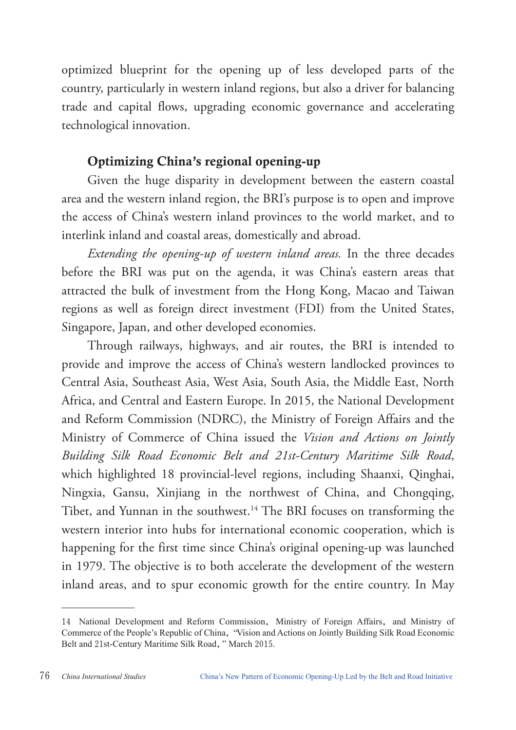optimized blueprint for the opening up of less developed parts of the country, particularly in western inland regions, but also a driver for balancing trade and capital flows, upgrading economic governance and accelerating technological innovation.

## Optimizing China's regional opening-up

Given the huge disparity in development between the eastern coastal area and the western inland region, the BRI's purpose is to open and improve the access of China's western inland provinces to the world market, and to interlink inland and coastal areas, domestically and abroad.

*Extending the opening-up of western inland areas.* In the three decades before the BRI was put on the agenda, it was China's eastern areas that attracted the bulk of investment from the Hong Kong, Macao and Taiwan regions as well as foreign direct investment (FDI) from the United States, Singapore, Japan, and other developed economies.

Through railways, highways, and air routes, the BRI is intended to provide and improve the access of China's western landlocked provinces to Central Asia, Southeast Asia, West Asia, South Asia, the Middle East, North Africa, and Central and Eastern Europe. In 2015, the National Development and Reform Commission (NDRC), the Ministry of Foreign Affairs and the Ministry of Commerce of China issued the *Vision and Actions on Jointly Building Silk Road Economic Belt and 21st-Century Maritime Silk Road*, which highlighted 18 provincial-level regions, including Shaanxi, Qinghai, Ningxia, Gansu, Xinjiang in the northwest of China, and Chongqing, Tibet, and Yunnan in the southwest.<sup>14</sup> The BRI focuses on transforming the western interior into hubs for international economic cooperation, which is happening for the first time since China's original opening-up was launched in 1979. The objective is to both accelerate the development of the western inland areas, and to spur economic growth for the entire country. In May

<sup>14</sup> National Development and Reform Commission, Ministry of Foreign Affairs, and Ministry of Commerce of the People's Republic of China, "Vision and Actions on Jointly Building Silk Road Economic Belt and 21st-Century Maritime Silk Road," March 2015.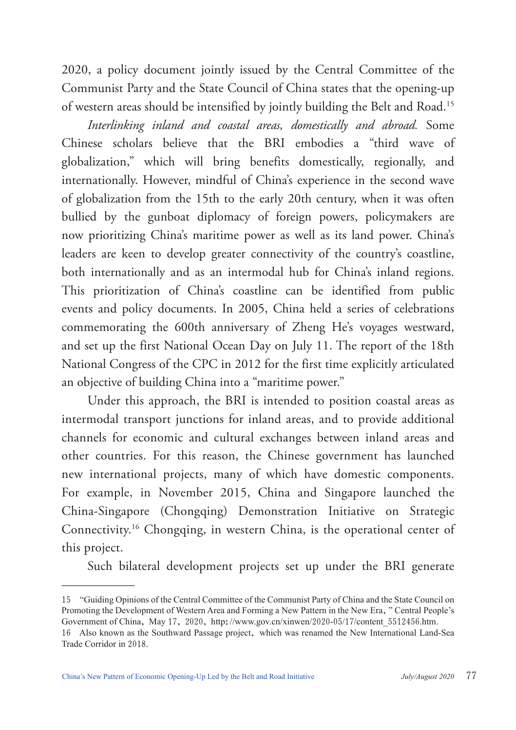2020, a policy document jointly issued by the Central Committee of the Communist Party and the State Council of China states that the opening-up of western areas should be intensified by jointly building the Belt and Road.15

*Interlinking inland and coastal areas, domestically and abroad.* Some Chinese scholars believe that the BRI embodies a "third wave of globalization," which will bring benefits domestically, regionally, and internationally. However, mindful of China's experience in the second wave of globalization from the 15th to the early 20th century, when it was often bullied by the gunboat diplomacy of foreign powers, policymakers are now prioritizing China's maritime power as well as its land power. China's leaders are keen to develop greater connectivity of the country's coastline, both internationally and as an intermodal hub for China's inland regions. This prioritization of China's coastline can be identified from public events and policy documents. In 2005, China held a series of celebrations commemorating the 600th anniversary of Zheng He's voyages westward, and set up the first National Ocean Day on July 11. The report of the 18th National Congress of the CPC in 2012 for the first time explicitly articulated an objective of building China into a "maritime power."

Under this approach, the BRI is intended to position coastal areas as intermodal transport junctions for inland areas, and to provide additional channels for economic and cultural exchanges between inland areas and other countries. For this reason, the Chinese government has launched new international projects, many of which have domestic components. For example, in November 2015, China and Singapore launched the China-Singapore (Chongqing) Demonstration Initiative on Strategic Connectivity.16 Chongqing, in western China, is the operational center of this project.

Such bilateral development projects set up under the BRI generate

<sup>15</sup> "Guiding Opinions of the Central Committee of the Communist Party of China and the State Council on Promoting the Development of Western Area and Forming a New Pattern in the New Era, "Central People's Government of China, May 17, 2020, http://www.gov.cn/xinwen/2020-05/17/content\_5512456.htm.

<sup>16</sup> Also known as the Southward Passage project, which was renamed the New International Land-Sea Trade Corridor in 2018.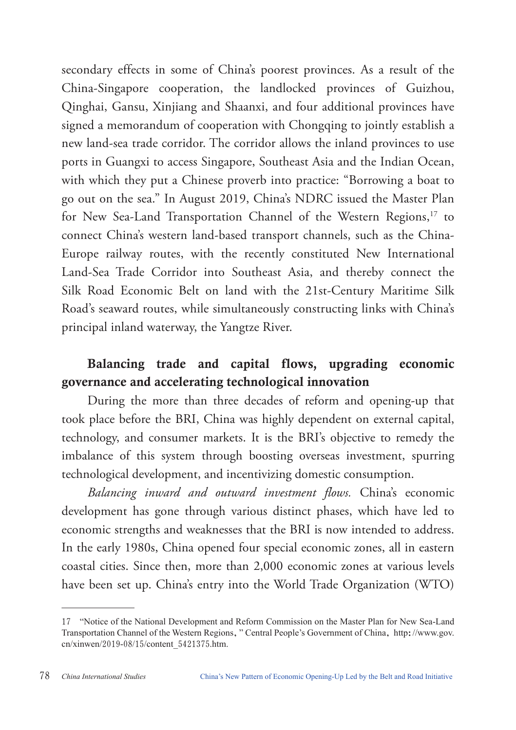secondary effects in some of China's poorest provinces. As a result of the China-Singapore cooperation, the landlocked provinces of Guizhou, Qinghai, Gansu, Xinjiang and Shaanxi, and four additional provinces have signed a memorandum of cooperation with Chongqing to jointly establish a new land-sea trade corridor. The corridor allows the inland provinces to use ports in Guangxi to access Singapore, Southeast Asia and the Indian Ocean, with which they put a Chinese proverb into practice: "Borrowing a boat to go out on the sea." In August 2019, China's NDRC issued the Master Plan for New Sea-Land Transportation Channel of the Western Regions,<sup>17</sup> to connect China's western land-based transport channels, such as the China-Europe railway routes, with the recently constituted New International Land-Sea Trade Corridor into Southeast Asia, and thereby connect the Silk Road Economic Belt on land with the 21st-Century Maritime Silk Road's seaward routes, while simultaneously constructing links with China's principal inland waterway, the Yangtze River.

## Balancing trade and capital flows, upgrading economic governance and accelerating technological innovation

During the more than three decades of reform and opening-up that took place before the BRI, China was highly dependent on external capital, technology, and consumer markets. It is the BRI's objective to remedy the imbalance of this system through boosting overseas investment, spurring technological development, and incentivizing domestic consumption.

*Balancing inward and outward investment flows.* China's economic development has gone through various distinct phases, which have led to economic strengths and weaknesses that the BRI is now intended to address. In the early 1980s, China opened four special economic zones, all in eastern coastal cities. Since then, more than 2,000 economic zones at various levels have been set up. China's entry into the World Trade Organization (WTO)

<sup>17</sup> "Notice of the National Development and Reform Commission on the Master Plan for New Sea-Land Transportation Channel of the Western Regions," Central People's Government of China, http://www.gov. cn/xinwen/2019-08/15/content\_5421375.htm.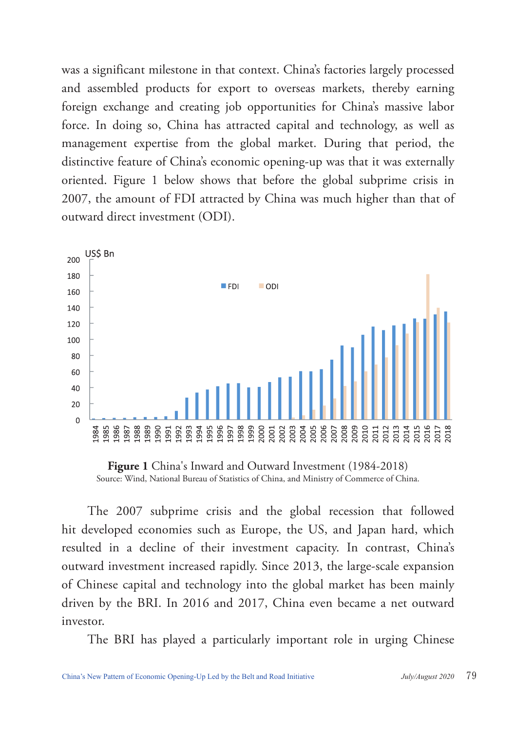was a significant milestone in that context. China's factories largely processed and assembled products for export to overseas markets, thereby earning foreign exchange and creating job opportunities for China's massive labor force. In doing so, China has attracted capital and technology, as well as management expertise from the global market. During that period, the distinctive feature of China's economic opening-up was that it was externally oriented. Figure 1 below shows that before the global subprime crisis in 2007, the amount of FDI attracted by China was much higher than that of outward direct investment (ODI).



**Figure 1** China's Inward and Outward Investment (1984-2018) Source: Wind, National Bureau of Statistics of China, and Ministry of Commerce of China.

The 2007 subprime crisis and the global recession that followed hit developed economies such as Europe, the US, and Japan hard, which resulted in a decline of their investment capacity. In contrast, China's outward investment increased rapidly. Since 2013, the large-scale expansion of Chinese capital and technology into the global market has been mainly driven by the BRI. In 2016 and 2017, China even became a net outward investor.

The BRI has played a particularly important role in urging Chinese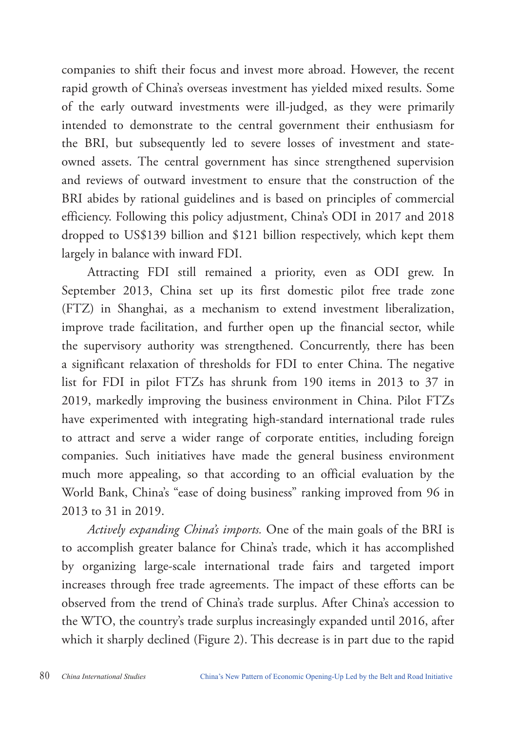companies to shift their focus and invest more abroad. However, the recent rapid growth of China's overseas investment has yielded mixed results. Some of the early outward investments were ill-judged, as they were primarily intended to demonstrate to the central government their enthusiasm for the BRI, but subsequently led to severe losses of investment and stateowned assets. The central government has since strengthened supervision and reviews of outward investment to ensure that the construction of the BRI abides by rational guidelines and is based on principles of commercial efficiency. Following this policy adjustment, China's ODI in 2017 and 2018 dropped to US\$139 billion and \$121 billion respectively, which kept them largely in balance with inward FDI.

Attracting FDI still remained a priority, even as ODI grew. In September 2013, China set up its first domestic pilot free trade zone (FTZ) in Shanghai, as a mechanism to extend investment liberalization, improve trade facilitation, and further open up the financial sector, while the supervisory authority was strengthened. Concurrently, there has been a significant relaxation of thresholds for FDI to enter China. The negative list for FDI in pilot FTZs has shrunk from 190 items in 2013 to 37 in 2019, markedly improving the business environment in China. Pilot FTZs have experimented with integrating high-standard international trade rules to attract and serve a wider range of corporate entities, including foreign companies. Such initiatives have made the general business environment much more appealing, so that according to an official evaluation by the World Bank, China's "ease of doing business" ranking improved from 96 in 2013 to 31 in 2019.

*Actively expanding China's imports.* One of the main goals of the BRI is to accomplish greater balance for China's trade, which it has accomplished by organizing large-scale international trade fairs and targeted import increases through free trade agreements. The impact of these efforts can be observed from the trend of China's trade surplus. After China's accession to the WTO, the country's trade surplus increasingly expanded until 2016, after which it sharply declined (Figure 2). This decrease is in part due to the rapid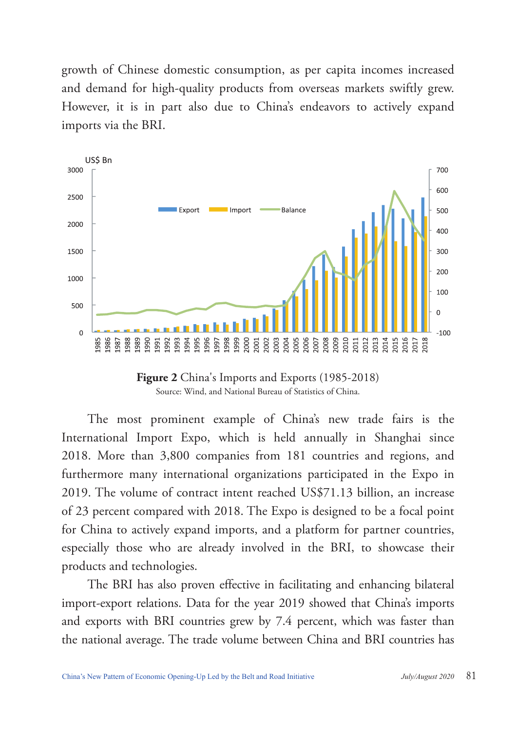growth of Chinese domestic consumption, as per capita incomes increased and demand for high-quality products from overseas markets swiftly grew. However, it is in part also due to China's endeavors to actively expand imports via the BRI.



**Figure 2** China's Imports and Exports (1985-2018) Source: Wind, and National Bureau of Statistics of China.

The most prominent example of China's new trade fairs is the International Import Expo, which is held annually in Shanghai since 2018. More than 3,800 companies from 181 countries and regions, and furthermore many international organizations participated in the Expo in 2019. The volume of contract intent reached US\$71.13 billion, an increase of 23 percent compared with 2018. The Expo is designed to be a focal point for China to actively expand imports, and a platform for partner countries, especially those who are already involved in the BRI, to showcase their products and technologies.

The BRI has also proven effective in facilitating and enhancing bilateral import-export relations. Data for the year 2019 showed that China's imports and exports with BRI countries grew by 7.4 percent, which was faster than the national average. The trade volume between China and BRI countries has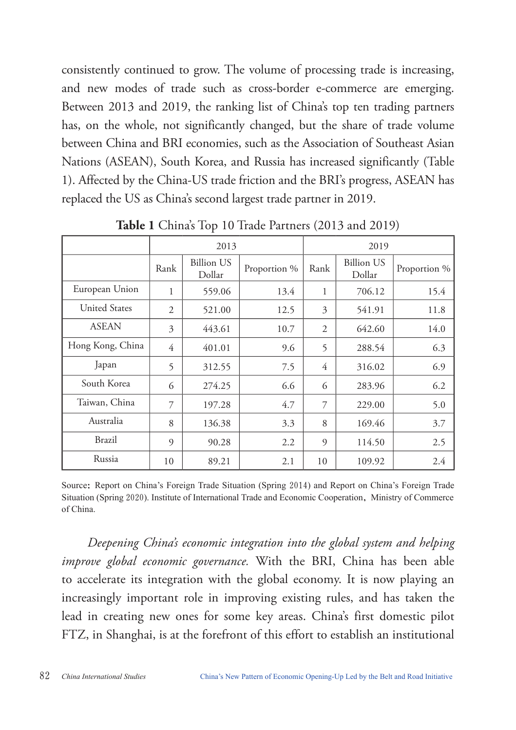consistently continued to grow. The volume of processing trade is increasing, and new modes of trade such as cross-border e-commerce are emerging. Between 2013 and 2019, the ranking list of China's top ten trading partners has, on the whole, not significantly changed, but the share of trade volume between China and BRI economies, such as the Association of Southeast Asian Nations (ASEAN), South Korea, and Russia has increased significantly (Table 1). Affected by the China-US trade friction and the BRI's progress, ASEAN has replaced the US as China's second largest trade partner in 2019.

|                      | 2013           |                             |              | 2019 |                             |              |
|----------------------|----------------|-----------------------------|--------------|------|-----------------------------|--------------|
|                      | Rank           | <b>Billion US</b><br>Dollar | Proportion % | Rank | <b>Billion US</b><br>Dollar | Proportion % |
| European Union       | 1              | 559.06                      | 13.4         | 1    | 706.12                      | 15.4         |
| <b>United States</b> | 2              | 521.00                      | 12.5         | 3    | 541.91                      | 11.8         |
| <b>ASEAN</b>         | 3              | 443.61                      | 10.7         | 2    | 642.60                      | 14.0         |
| Hong Kong, China     | 4              | 401.01                      | 9.6          | 5    | 288.54                      | 6.3          |
| Japan                | 5              | 312.55                      | 7.5          | 4    | 316.02                      | 6.9          |
| South Korea          | 6              | 274.25                      | 6.6          | 6    | 283.96                      | 6.2          |
| Taiwan, China        | 7              | 197.28                      | 4.7          | 7    | 229.00                      | 5.0          |
| Australia            | 8              | 136.38                      | 3.3          | 8    | 169.46                      | 3.7          |
| Brazil               | $\overline{Q}$ | 90.28                       | 2.2          | 9    | 114.50                      | 2.5          |
| Russia               | 10             | 89.21                       | 2.1          | 10   | 109.92                      | 2.4          |

**Table 1** China's Top 10 Trade Partners (2013 and 2019)

Source: Report on China's Foreign Trade Situation (Spring 2014) and Report on China's Foreign Trade Situation (Spring 2020). Institute of International Trade and Economic Cooperation, Ministry of Commerce of China.

*Deepening China's economic integration into the global system and helping improve global economic governance.* With the BRI, China has been able to accelerate its integration with the global economy. It is now playing an increasingly important role in improving existing rules, and has taken the lead in creating new ones for some key areas. China's first domestic pilot FTZ, in Shanghai, is at the forefront of this effort to establish an institutional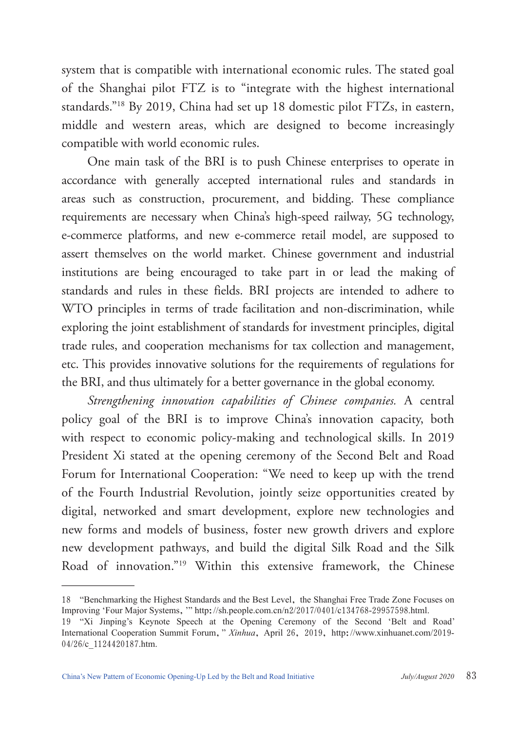system that is compatible with international economic rules. The stated goal of the Shanghai pilot FTZ is to "integrate with the highest international standards."18 By 2019, China had set up 18 domestic pilot FTZs, in eastern, middle and western areas, which are designed to become increasingly compatible with world economic rules.

One main task of the BRI is to push Chinese enterprises to operate in accordance with generally accepted international rules and standards in areas such as construction, procurement, and bidding. These compliance requirements are necessary when China's high-speed railway, 5G technology, e-commerce platforms, and new e-commerce retail model, are supposed to assert themselves on the world market. Chinese government and industrial institutions are being encouraged to take part in or lead the making of standards and rules in these fields. BRI projects are intended to adhere to WTO principles in terms of trade facilitation and non-discrimination, while exploring the joint establishment of standards for investment principles, digital trade rules, and cooperation mechanisms for tax collection and management, etc. This provides innovative solutions for the requirements of regulations for the BRI, and thus ultimately for a better governance in the global economy.

*Strengthening innovation capabilities of Chinese companies.* A central policy goal of the BRI is to improve China's innovation capacity, both with respect to economic policy-making and technological skills. In 2019 President Xi stated at the opening ceremony of the Second Belt and Road Forum for International Cooperation: "We need to keep up with the trend of the Fourth Industrial Revolution, jointly seize opportunities created by digital, networked and smart development, explore new technologies and new forms and models of business, foster new growth drivers and explore new development pathways, and build the digital Silk Road and the Silk Road of innovation."19 Within this extensive framework, the Chinese

<sup>18</sup> "Benchmarking the Highest Standards and the Best Level, the Shanghai Free Trade Zone Focuses on Improving 'Four Major Systems,'" http://sh.people.com.cn/n2/2017/0401/c134768-29957598.html.

<sup>19</sup> "Xi Jinping's Keynote Speech at the Opening Ceremony of the Second 'Belt and Road' International Cooperation Summit Forum," *Xinhua*, April 26, 2019, http://www.xinhuanet.com/2019- 04/26/c 1124420187.htm.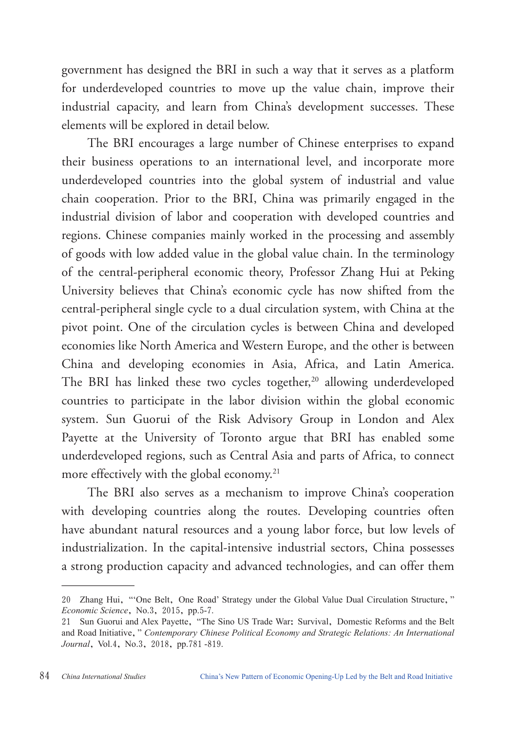government has designed the BRI in such a way that it serves as a platform for underdeveloped countries to move up the value chain, improve their industrial capacity, and learn from China's development successes. These elements will be explored in detail below.

The BRI encourages a large number of Chinese enterprises to expand their business operations to an international level, and incorporate more underdeveloped countries into the global system of industrial and value chain cooperation. Prior to the BRI, China was primarily engaged in the industrial division of labor and cooperation with developed countries and regions. Chinese companies mainly worked in the processing and assembly of goods with low added value in the global value chain. In the terminology of the central-peripheral economic theory, Professor Zhang Hui at Peking University believes that China's economic cycle has now shifted from the central-peripheral single cycle to a dual circulation system, with China at the pivot point. One of the circulation cycles is between China and developed economies like North America and Western Europe, and the other is between China and developing economies in Asia, Africa, and Latin America. The BRI has linked these two cycles together,<sup>20</sup> allowing underdeveloped countries to participate in the labor division within the global economic system. Sun Guorui of the Risk Advisory Group in London and Alex Payette at the University of Toronto argue that BRI has enabled some underdeveloped regions, such as Central Asia and parts of Africa, to connect more effectively with the global economy.<sup>21</sup>

The BRI also serves as a mechanism to improve China's cooperation with developing countries along the routes. Developing countries often have abundant natural resources and a young labor force, but low levels of industrialization. In the capital-intensive industrial sectors, China possesses a strong production capacity and advanced technologies, and can offer them

<sup>20</sup> Zhang Hui, "'One Belt, One Road' Strategy under the Global Value Dual Circulation Structure," *Economic Science*, No.3, 2015, pp.5-7.

<sup>21</sup> Sun Guorui and Alex Payette, "The Sino US Trade War: Survival, Domestic Reforms and the Belt and Road Initiative," *Contemporary Chinese Political Economy and Strategic Relations: An International Journal*, Vol.4, No.3, 2018, pp.781 -819.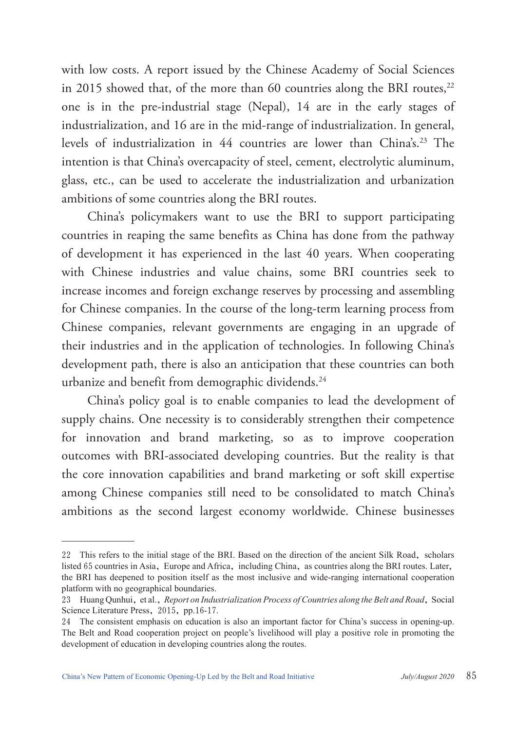with low costs. A report issued by the Chinese Academy of Social Sciences in 2015 showed that, of the more than 60 countries along the BRI routes, $^{22}$ one is in the pre-industrial stage (Nepal), 14 are in the early stages of industrialization, and 16 are in the mid-range of industrialization. In general, levels of industrialization in 44 countries are lower than China's.<sup>23</sup> The intention is that China's overcapacity of steel, cement, electrolytic aluminum, glass, etc., can be used to accelerate the industrialization and urbanization ambitions of some countries along the BRI routes.

China's policymakers want to use the BRI to support participating countries in reaping the same benefits as China has done from the pathway of development it has experienced in the last 40 years. When cooperating with Chinese industries and value chains, some BRI countries seek to increase incomes and foreign exchange reserves by processing and assembling for Chinese companies. In the course of the long-term learning process from Chinese companies, relevant governments are engaging in an upgrade of their industries and in the application of technologies. In following China's development path, there is also an anticipation that these countries can both urbanize and benefit from demographic dividends.<sup>24</sup>

China's policy goal is to enable companies to lead the development of supply chains. One necessity is to considerably strengthen their competence for innovation and brand marketing, so as to improve cooperation outcomes with BRI-associated developing countries. But the reality is that the core innovation capabilities and brand marketing or soft skill expertise among Chinese companies still need to be consolidated to match China's ambitions as the second largest economy worldwide. Chinese businesses

<sup>22</sup> This refers to the initial stage of the BRI. Based on the direction of the ancient Silk Road, scholars listed 65 countries in Asia, Europe and Africa, including China, as countries along the BRI routes. Later, the BRI has deepened to position itself as the most inclusive and wide-ranging international cooperation platform with no geographical boundaries.

<sup>23</sup> Huang Qunhui, et al., *Report on Industrialization Process of Countries along the Belt and Road*, Social Science Literature Press, 2015, pp.16-17.

<sup>24</sup> The consistent emphasis on education is also an important factor for China's success in opening-up. The Belt and Road cooperation project on people's livelihood will play a positive role in promoting the development of education in developing countries along the routes.